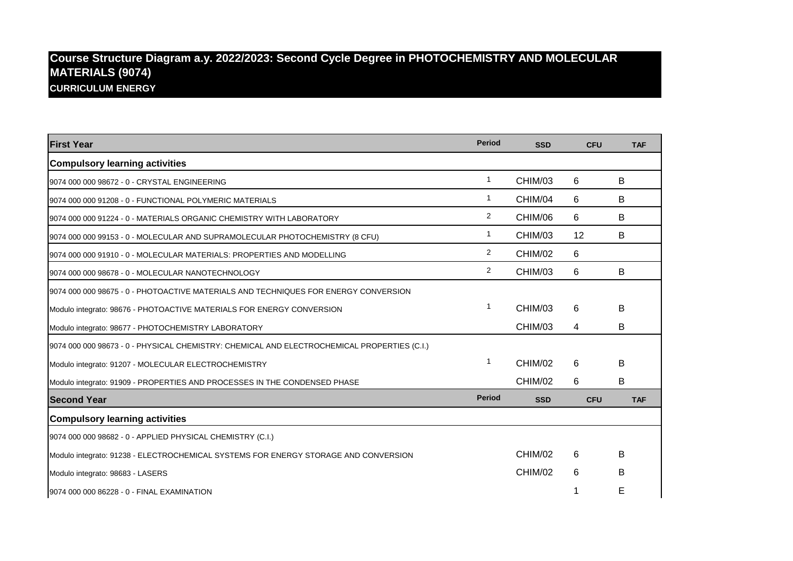## **Course Structure Diagram a.y. 2022/2023: Second Cycle Degree in PHOTOCHEMISTRY AND MOLECULAR MATERIALS (9074) CURRICULUM ENERGY**

| <b>First Year</b>                                                                           | <b>Period</b>  | <b>SSD</b> | <b>CFU</b> | <b>TAF</b> |
|---------------------------------------------------------------------------------------------|----------------|------------|------------|------------|
| <b>Compulsory learning activities</b>                                                       |                |            |            |            |
| 9074 000 000 98672 - 0 - CRYSTAL ENGINEERING                                                | 1              | CHIM/03    | 6          | B          |
| 9074 000 000 91208 - 0 - FUNCTIONAL POLYMERIC MATERIALS                                     | 1              | CHIM/04    | 6          | B          |
| 9074 000 000 91224 - 0 - MATERIALS ORGANIC CHEMISTRY WITH LABORATORY                        | $\overline{2}$ | CHIM/06    | 6          | B          |
| 9074 000 000 99153 - 0 - MOLECULAR AND SUPRAMOLECULAR PHOTOCHEMISTRY (8 CFU)                | 1              | CHIM/03    | 12         | B          |
| 9074 000 000 91910 - 0 - MOLECULAR MATERIALS: PROPERTIES AND MODELLING                      | $\overline{2}$ | CHIM/02    | 6          |            |
| 9074 000 000 98678 - 0 - MOLECULAR NANOTECHNOLOGY                                           | $\overline{2}$ | CHIM/03    | 6          | B          |
| 9074 000 000 98675 - 0 - PHOTOACTIVE MATERIALS AND TECHNIQUES FOR ENERGY CONVERSION         |                |            |            |            |
| Modulo integrato: 98676 - PHOTOACTIVE MATERIALS FOR ENERGY CONVERSION                       | 1              | CHIM/03    | 6          | B          |
| Modulo integrato: 98677 - PHOTOCHEMISTRY LABORATORY                                         |                | CHIM/03    | 4          | B          |
| 9074 000 000 98673 - 0 - PHYSICAL CHEMISTRY: CHEMICAL AND ELECTROCHEMICAL PROPERTIES (C.I.) |                |            |            |            |
| Modulo integrato: 91207 - MOLECULAR ELECTROCHEMISTRY                                        | 1              | CHIM/02    | 6          | B          |
| Modulo integrato: 91909 - PROPERTIES AND PROCESSES IN THE CONDENSED PHASE                   |                | CHIM/02    | 6          | В          |
| <b>Second Year</b>                                                                          | <b>Period</b>  | <b>SSD</b> | <b>CFU</b> | <b>TAF</b> |
| <b>Compulsory learning activities</b>                                                       |                |            |            |            |
| 9074 000 000 98682 - 0 - APPLIED PHYSICAL CHEMISTRY (C.I.)                                  |                |            |            |            |
| Modulo integrato: 91238 - ELECTROCHEMICAL SYSTEMS FOR ENERGY STORAGE AND CONVERSION         |                | CHIM/02    | 6          | B          |
| Modulo integrato: 98683 - LASERS                                                            |                | CHIM/02    | 6          | B          |
| 9074 000 000 86228 - 0 - FINAL EXAMINATION                                                  |                |            |            | Е          |